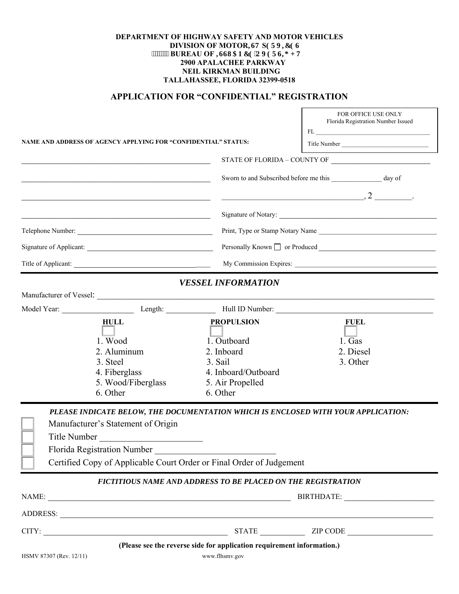## **DEPARTMENT OF HIGHWAY SAFETY AND MOTOR VEHICLES DIVISION OF MOTOR<b>KIV** SGTX**IEGU** *BUREAU OF RUNCPEG'QXGTUR JV*  **2900 APALACHEE PARKWAY NEIL KIRKMAN BUILDING TALLAHASSEE, FLORIDA 32399-0518**

## **APPLICATION FOR "CONFIDENTIAL" REGISTRATION**

Ē

|                                                                |                                                                      |                                                                        | FOR OFFICE USE ONLY<br>Florida Registration Number Issued                                                                                                                                                                                                                                                                         |  |  |
|----------------------------------------------------------------|----------------------------------------------------------------------|------------------------------------------------------------------------|-----------------------------------------------------------------------------------------------------------------------------------------------------------------------------------------------------------------------------------------------------------------------------------------------------------------------------------|--|--|
| NAME AND ADDRESS OF AGENCY APPLYING FOR "CONFIDENTIAL" STATUS: |                                                                      |                                                                        | ${\rm FL} \xspace \xrightarrow{\hspace*{1.5cm}} {\hspace*{1.5cm}} {\hspace*{1.5cm}} {\begin{tabular}{c} \bf{FL} \end{tabular}}$                                                                                                                                                                                                   |  |  |
|                                                                |                                                                      |                                                                        | Title Number                                                                                                                                                                                                                                                                                                                      |  |  |
|                                                                |                                                                      |                                                                        |                                                                                                                                                                                                                                                                                                                                   |  |  |
|                                                                |                                                                      |                                                                        | Sworn to and Subscribed before me this _________________ day of                                                                                                                                                                                                                                                                   |  |  |
|                                                                |                                                                      |                                                                        | $\overline{\phantom{a}}$ , $\overline{\phantom{a}}$ , $\overline{\phantom{a}}$ , $\overline{\phantom{a}}$ , $\overline{\phantom{a}}$ , $\overline{\phantom{a}}$ , $\overline{\phantom{a}}$ , $\overline{\phantom{a}}$ , $\overline{\phantom{a}}$ , $\overline{\phantom{a}}$ , $\overline{\phantom{a}}$ , $\overline{\phantom{a}}$ |  |  |
|                                                                |                                                                      |                                                                        | Signature of Notary:                                                                                                                                                                                                                                                                                                              |  |  |
|                                                                | Telephone Number:                                                    |                                                                        | Print, Type or Stamp Notary Name                                                                                                                                                                                                                                                                                                  |  |  |
|                                                                |                                                                      |                                                                        | Personally Known and The Produced                                                                                                                                                                                                                                                                                                 |  |  |
|                                                                | Title of Applicant:                                                  |                                                                        |                                                                                                                                                                                                                                                                                                                                   |  |  |
|                                                                |                                                                      | <b>VESSEL INFORMATION</b>                                              |                                                                                                                                                                                                                                                                                                                                   |  |  |
|                                                                |                                                                      |                                                                        |                                                                                                                                                                                                                                                                                                                                   |  |  |
|                                                                |                                                                      |                                                                        | Model Year: Length: Length: Hull ID Number:                                                                                                                                                                                                                                                                                       |  |  |
|                                                                | <b>HULL</b>                                                          | <b>PROPULSION</b>                                                      | <b>FUEL</b>                                                                                                                                                                                                                                                                                                                       |  |  |
|                                                                | 1. Wood                                                              | 1. Outboard                                                            | 1. Gas                                                                                                                                                                                                                                                                                                                            |  |  |
|                                                                | 2. Aluminum                                                          | 2. Inboard                                                             | 2. Diesel                                                                                                                                                                                                                                                                                                                         |  |  |
|                                                                | 3. Steel                                                             | 3. Sail                                                                | 3. Other                                                                                                                                                                                                                                                                                                                          |  |  |
|                                                                | 4. Fiberglass                                                        | 4. Inboard/Outboard                                                    |                                                                                                                                                                                                                                                                                                                                   |  |  |
|                                                                | 5. Wood/Fiberglass                                                   | 5. Air Propelled                                                       |                                                                                                                                                                                                                                                                                                                                   |  |  |
|                                                                | 6. Other                                                             | 6. Other                                                               |                                                                                                                                                                                                                                                                                                                                   |  |  |
|                                                                |                                                                      |                                                                        | PLEASE INDICATE BELOW, THE DOCUMENTATION WHICH IS ENCLOSED WITH YOUR APPLICATION:                                                                                                                                                                                                                                                 |  |  |
|                                                                | Manufacturer's Statement of Origin                                   |                                                                        |                                                                                                                                                                                                                                                                                                                                   |  |  |
|                                                                | Title Number                                                         |                                                                        |                                                                                                                                                                                                                                                                                                                                   |  |  |
|                                                                | Florida Registration Number                                          |                                                                        |                                                                                                                                                                                                                                                                                                                                   |  |  |
|                                                                | Certified Copy of Applicable Court Order or Final Order of Judgement |                                                                        |                                                                                                                                                                                                                                                                                                                                   |  |  |
|                                                                |                                                                      | <b>FICTITIOUS NAME AND ADDRESS TO BE PLACED ON THE REGISTRATION</b>    |                                                                                                                                                                                                                                                                                                                                   |  |  |
|                                                                |                                                                      | BIRTHDATE:                                                             |                                                                                                                                                                                                                                                                                                                                   |  |  |
|                                                                | ADDRESS:                                                             |                                                                        |                                                                                                                                                                                                                                                                                                                                   |  |  |
|                                                                | CITY:                                                                |                                                                        | STATE ZIP CODE                                                                                                                                                                                                                                                                                                                    |  |  |
|                                                                |                                                                      | (Please see the reverse side for application requirement information.) |                                                                                                                                                                                                                                                                                                                                   |  |  |